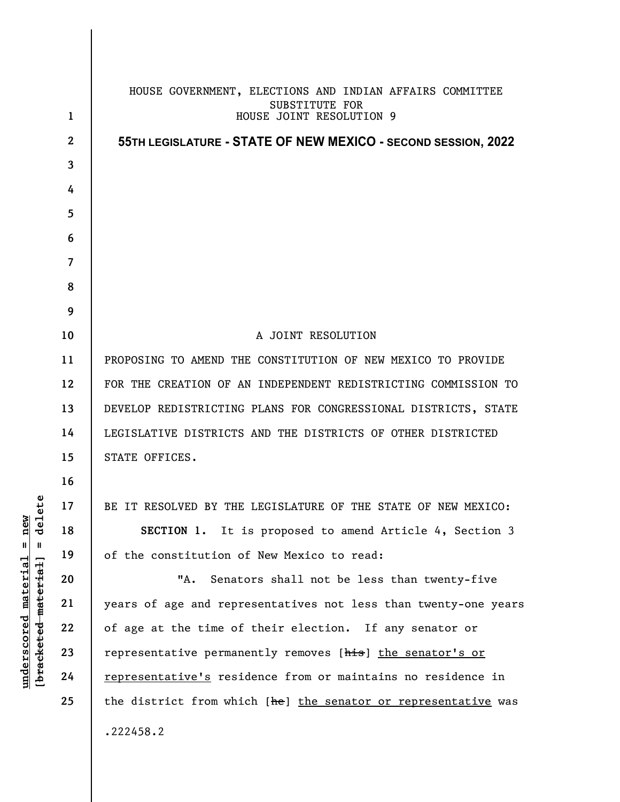|                                     | $\mathbf 1$             | HOUSE GOVERNMENT, ELECTIONS AND INDIAN AFFAIRS COMMITTEE<br>SUBSTITUTE FOR<br>HOUSE JOINT RESOLUTION 9 |
|-------------------------------------|-------------------------|--------------------------------------------------------------------------------------------------------|
| $\mathfrak{e}$                      | $\mathbf{2}$            | 55TH LEGISLATURE - STATE OF NEW MEXICO - SECOND SESSION, 2022                                          |
|                                     | 3                       |                                                                                                        |
|                                     | 4                       |                                                                                                        |
|                                     | 5                       |                                                                                                        |
|                                     | 6                       |                                                                                                        |
|                                     | $\overline{\mathbf{7}}$ |                                                                                                        |
|                                     | 8                       |                                                                                                        |
|                                     | 9                       |                                                                                                        |
|                                     | 10                      | A JOINT RESOLUTION                                                                                     |
|                                     | 11                      | PROPOSING TO AMEND THE CONSTITUTION OF NEW MEXICO TO PROVIDE                                           |
|                                     | 12                      | FOR THE CREATION OF AN INDEPENDENT REDISTRICTING COMMISSION TO                                         |
|                                     | 13                      | DEVELOP REDISTRICTING PLANS FOR CONGRESSIONAL DISTRICTS, STATE                                         |
|                                     | 14                      | LEGISLATIVE DISTRICTS AND THE DISTRICTS OF OTHER DISTRICTED                                            |
|                                     | 15                      | STATE OFFICES.                                                                                         |
|                                     | 16                      |                                                                                                        |
|                                     | 17                      | BE IT RESOLVED BY THE LEGISLATURE OF THE STATE OF NEW MEXICO:                                          |
| dele<br>$=$ new                     | 18                      | SECTION 1. It is proposed to amend Article 4, Section 3                                                |
| $\,$ II                             | 19                      | of the constitution of New Mexico to read:                                                             |
| <u>material</u>                     | 20                      | "A.<br>Senators shall not be less than twenty-five                                                     |
|                                     | 21                      | years of age and representatives not less than twenty-one years                                        |
|                                     | 22                      | of age at the time of their election. If any senator or                                                |
| [bracketed-material]<br>underscored | 23                      | representative permanently removes [his] the senator's or                                              |
|                                     | 24                      | representative's residence from or maintains no residence in                                           |
|                                     | 25                      | the district from which [he] the senator or representative was                                         |
|                                     |                         | .222458.2                                                                                              |
|                                     |                         |                                                                                                        |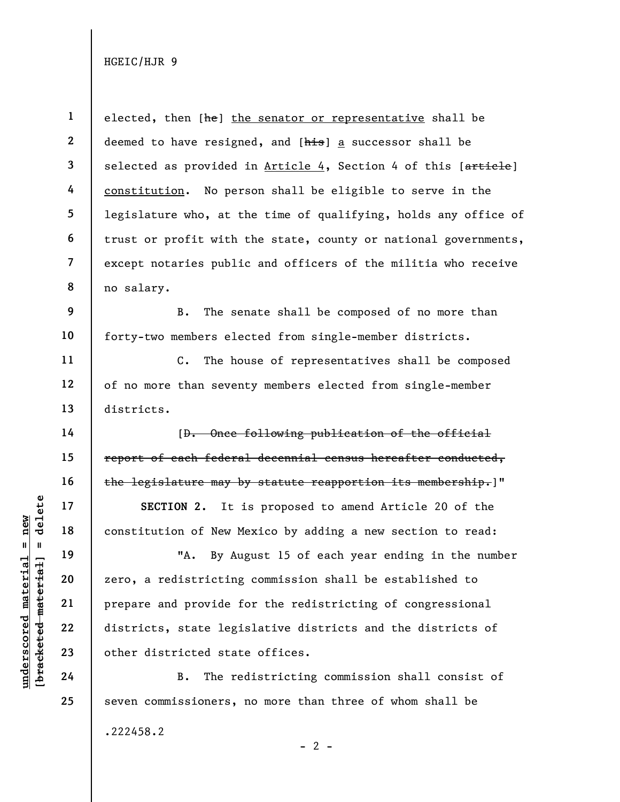1 2 3 4 5 6 7 8 elected, then [he] the senator or representative shall be deemed to have resigned, and [his] a successor shall be selected as provided in Article 4, Section 4 of this [article] constitution. No person shall be eligible to serve in the legislature who, at the time of qualifying, holds any office of trust or profit with the state, county or national governments, except notaries public and officers of the militia who receive no salary.

B. The senate shall be composed of no more than forty-two members elected from single-member districts.

C. The house of representatives shall be composed of no more than seventy members elected from single-member districts.

[D. Once following publication of the official report of each federal decennial census hereafter conducted, the legislature may by statute reapportion its membership.]"

SECTION 2. It is proposed to amend Article 20 of the constitution of New Mexico by adding a new section to read:

underscored material sconstitution of New M.<br>
19 material constitution of New M.<br>
20 material prepare and provide for districting<br>
22 districts, state legi<br>
23 other districted stat<br>
24 B. The re "A. By August 15 of each year ending in the number zero, a redistricting commission shall be established to prepare and provide for the redistricting of congressional districts, state legislative districts and the districts of other districted state offices.

B. The redistricting commission shall consist of seven commissioners, no more than three of whom shall be

.222458.2

9

10

11

12

13

14

15

16

17

18

19

20

21

22

23

24

25

 $- 2 -$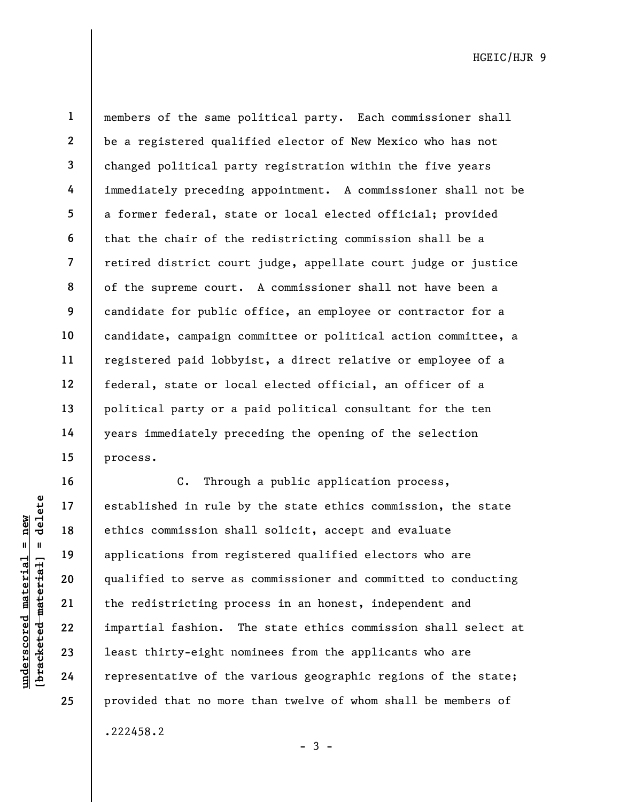23

24

25

6

1 2 3 4 5 7 8 9 members of the same political party. Each commissioner shall be a registered qualified elector of New Mexico who has not changed political party registration within the five years immediately preceding appointment. A commissioner shall not be a former federal, state or local elected official; provided that the chair of the redistricting commission shall be a retired district court judge, appellate court judge or justice of the supreme court. A commissioner shall not have been a candidate for public office, an employee or contractor for a candidate, campaign committee or political action committee, a registered paid lobbyist, a direct relative or employee of a federal, state or local elected official, an officer of a political party or a paid political consultant for the ten years immediately preceding the opening of the selection process.

underscored material = new [bracketed material] = delete C. Through a public application process, established in rule by the state ethics commission, the state ethics commission shall solicit, accept and evaluate applications from registered qualified electors who are qualified to serve as commissioner and committed to conducting the redistricting process in an honest, independent and impartial fashion. The state ethics commission shall select at least thirty-eight nominees from the applicants who are representative of the various geographic regions of the state; provided that no more than twelve of whom shall be members of

.222458.2

 $-3 -$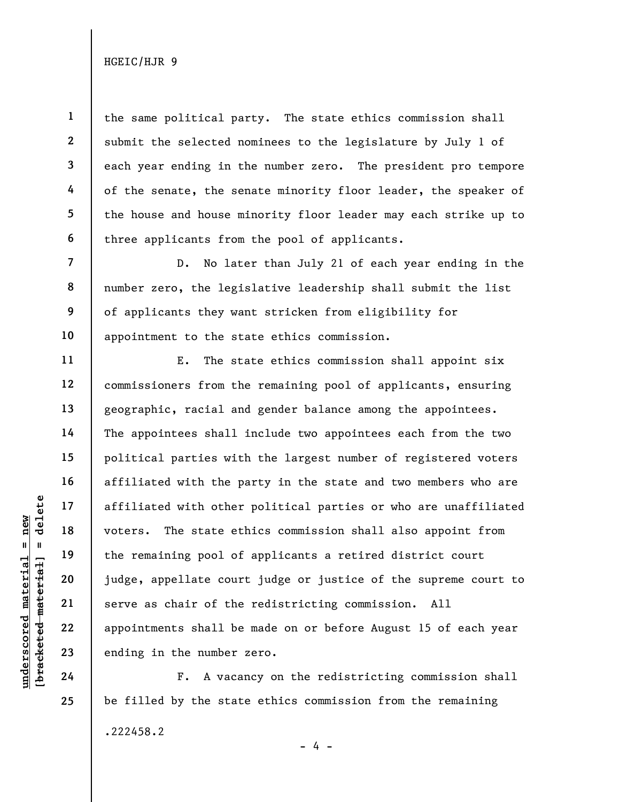1

2

3

4

5

6

7

8

9

10

11

12

13

14

15

16

17

18

19

20

21

22

23

24

25

the same political party. The state ethics commission shall submit the selected nominees to the legislature by July 1 of each year ending in the number zero. The president pro tempore of the senate, the senate minority floor leader, the speaker of the house and house minority floor leader may each strike up to three applicants from the pool of applicants.

D. No later than July 21 of each year ending in the number zero, the legislative leadership shall submit the list of applicants they want stricken from eligibility for appointment to the state ethics commission.

under 17<br>
under 18<br>
under 19<br>
under 19<br>
under 19<br>
20<br>
under 22<br>
under 22<br>
under 23<br>
under 24<br>
under 24<br>
under 19<br>
under 19<br>
under 19<br>
under 19<br>
24<br>
F. A vaca E. The state ethics commission shall appoint six commissioners from the remaining pool of applicants, ensuring geographic, racial and gender balance among the appointees. The appointees shall include two appointees each from the two political parties with the largest number of registered voters affiliated with the party in the state and two members who are affiliated with other political parties or who are unaffiliated voters. The state ethics commission shall also appoint from the remaining pool of applicants a retired district court judge, appellate court judge or justice of the supreme court to serve as chair of the redistricting commission. All appointments shall be made on or before August 15 of each year ending in the number zero.

F. A vacancy on the redistricting commission shall be filled by the state ethics commission from the remaining .222458.2  $- 4 -$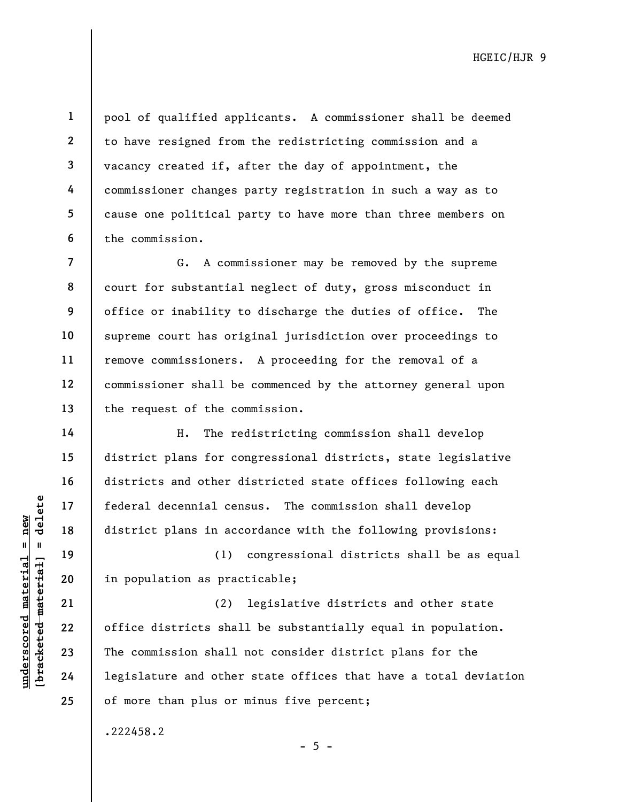3 4 5

6

14

15

16

17

18

19

20

21

22

23

24

25

1

2

pool of qualified applicants. A commissioner shall be deemed to have resigned from the redistricting commission and a vacancy created if, after the day of appointment, the commissioner changes party registration in such a way as to cause one political party to have more than three members on the commission.

7 8 9 10 11 12 13 G. A commissioner may be removed by the supreme court for substantial neglect of duty, gross misconduct in office or inability to discharge the duties of office. The supreme court has original jurisdiction over proceedings to remove commissioners. A proceeding for the removal of a commissioner shall be commenced by the attorney general upon the request of the commission.

H. The redistricting commission shall develop district plans for congressional districts, state legislative districts and other districted state offices following each federal decennial census. The commission shall develop district plans in accordance with the following provisions:

(1) congressional districts shall be as equal in population as practicable;

underscored material of the district plans in according the district plans in according to the district plans in according to the district shall can continue that the commission shall and other districts and other than the (2) legislative districts and other state office districts shall be substantially equal in population. The commission shall not consider district plans for the legislature and other state offices that have a total deviation of more than plus or minus five percent;

 $- 5 -$ 

.222458.2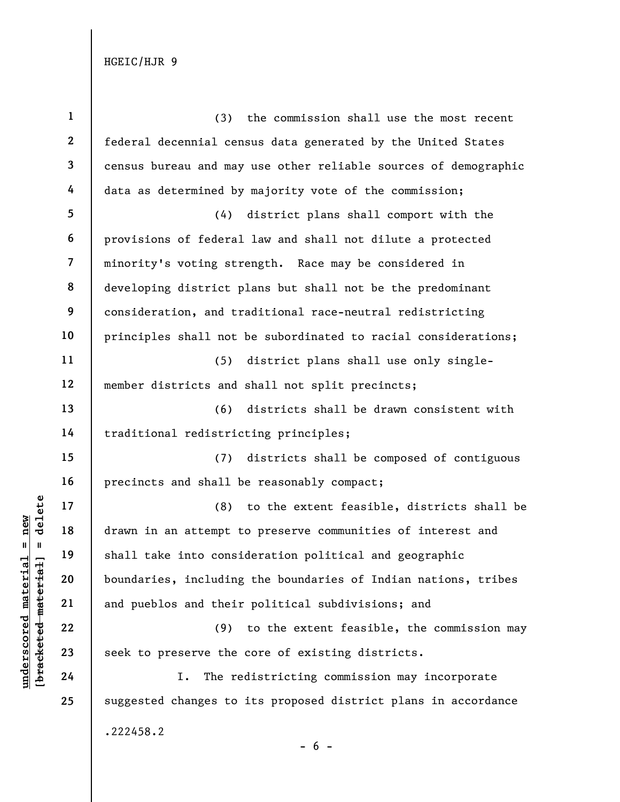| $\mathbf{1}$   | (3)<br>the commission shall use the most recent                 |  |
|----------------|-----------------------------------------------------------------|--|
| $\mathbf{2}$   | federal decennial census data generated by the United States    |  |
| 3              | census bureau and may use other reliable sources of demographic |  |
| 4              | data as determined by majority vote of the commission;          |  |
| 5              | district plans shall comport with the<br>(4)                    |  |
| 6              | provisions of federal law and shall not dilute a protected      |  |
| $\overline{7}$ | minority's voting strength. Race may be considered in           |  |
| 8              | developing district plans but shall not be the predominant      |  |
| 9              | consideration, and traditional race-neutral redistricting       |  |
| 10             | principles shall not be subordinated to racial considerations;  |  |
| 11             | district plans shall use only single-<br>(5)                    |  |
| 12             | member districts and shall not split precincts;                 |  |
| 13             | (6)<br>districts shall be drawn consistent with                 |  |
| 14             | traditional redistricting principles;                           |  |
| 15             | (7) districts shall be composed of contiguous                   |  |
| 16             | precincts and shall be reasonably compact;                      |  |
| 17             | (8)<br>to the extent feasible, districts shall be               |  |
| 18             | drawn in an attempt to preserve communities of interest and     |  |
| 19             | shall take into consideration political and geographic          |  |
| 20             | boundaries, including the boundaries of Indian nations, tribes  |  |
| 21             | and pueblos and their political subdivisions; and               |  |
| 22             | to the extent feasible, the commission may<br>(9)               |  |
| 23             | seek to preserve the core of existing districts.                |  |
| 24             | The redistricting commission may incorporate<br>I.              |  |
| 25             | suggested changes to its proposed district plans in accordance  |  |
|                | .222458.2                                                       |  |

## $\frac{\text{underscored material = new}}{\text{beac detected-matter}+\text{d}}$  = delete

- 6 -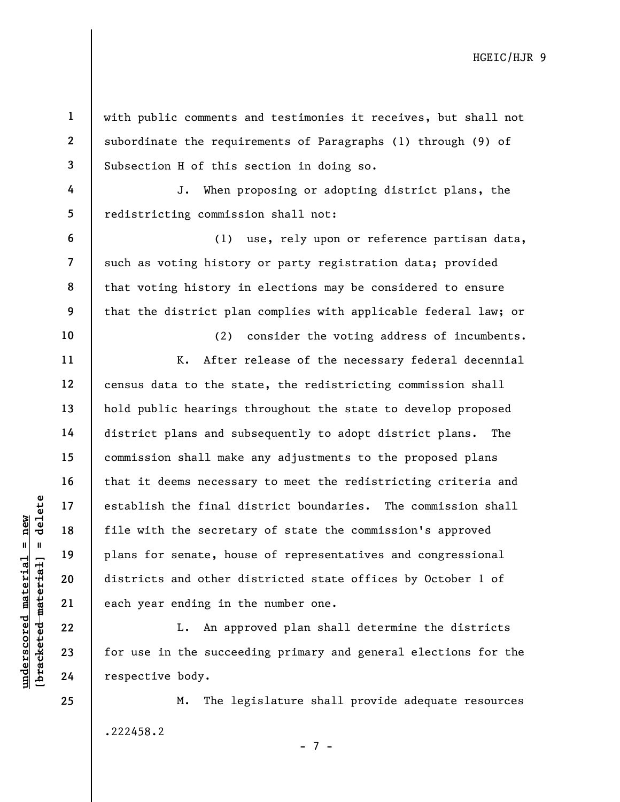with public comments and testimonies it receives, but shall not subordinate the requirements of Paragraphs (1) through (9) of Subsection H of this section in doing so.

4 5 J. When proposing or adopting district plans, the redistricting commission shall not:

(1) use, rely upon or reference partisan data, such as voting history or party registration data; provided that voting history in elections may be considered to ensure that the district plan complies with applicable federal law; or

understablish the final dealer of the secretary of the secretary of the secretary of the secretary of the secretary of the secretary of the secretary of the secretary of the secretary of the secretary of the secretary of t (2) consider the voting address of incumbents. K. After release of the necessary federal decennial census data to the state, the redistricting commission shall hold public hearings throughout the state to develop proposed district plans and subsequently to adopt district plans. The commission shall make any adjustments to the proposed plans that it deems necessary to meet the redistricting criteria and establish the final district boundaries. The commission shall file with the secretary of state the commission's approved plans for senate, house of representatives and congressional districts and other districted state offices by October 1 of each year ending in the number one.

L. An approved plan shall determine the districts for use in the succeeding primary and general elections for the respective body.

M. The legislature shall provide adequate resources .222458.2

- 7 -

24 25

1

2

3

6

7

8

9

10

11

12

13

14

15

16

17

18

19

20

21

22

23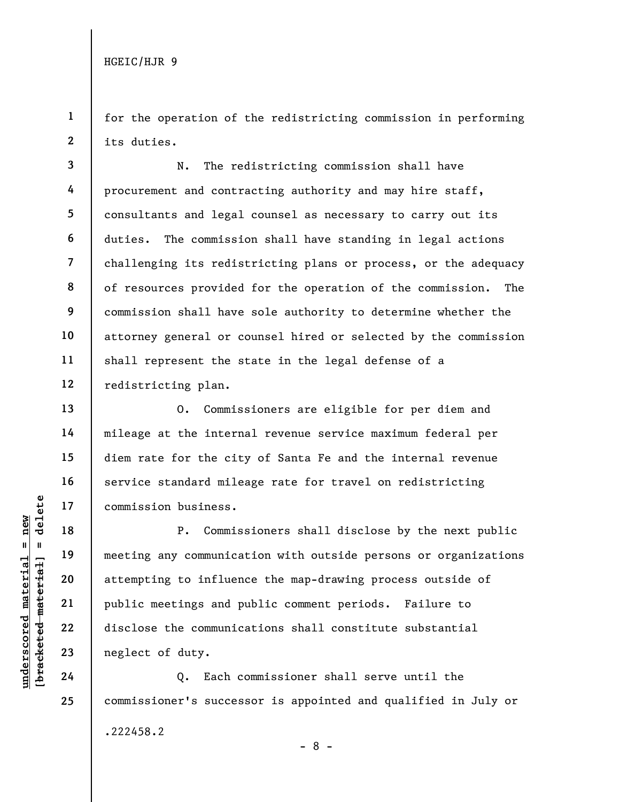1 2 for the operation of the redistricting commission in performing its duties.

3 4 5 6 7 8 9 10 11 12 N. The redistricting commission shall have procurement and contracting authority and may hire staff, consultants and legal counsel as necessary to carry out its duties. The commission shall have standing in legal actions challenging its redistricting plans or process, or the adequacy of resources provided for the operation of the commission. The commission shall have sole authority to determine whether the attorney general or counsel hired or selected by the commission shall represent the state in the legal defense of a redistricting plan.

O. Commissioners are eligible for per diem and mileage at the internal revenue service maximum federal per diem rate for the city of Santa Fe and the internal revenue service standard mileage rate for travel on redistricting commission business.

underscored material = new [bracketed material] = delete P. Commissioners shall disclose by the next public meeting any communication with outside persons or organizations attempting to influence the map-drawing process outside of public meetings and public comment periods. Failure to disclose the communications shall constitute substantial neglect of duty.

Q. Each commissioner shall serve until the commissioner's successor is appointed and qualified in July or .222458.2

- 8 -

13

14

15

16

17

18

19

20

21

22

23

24

25